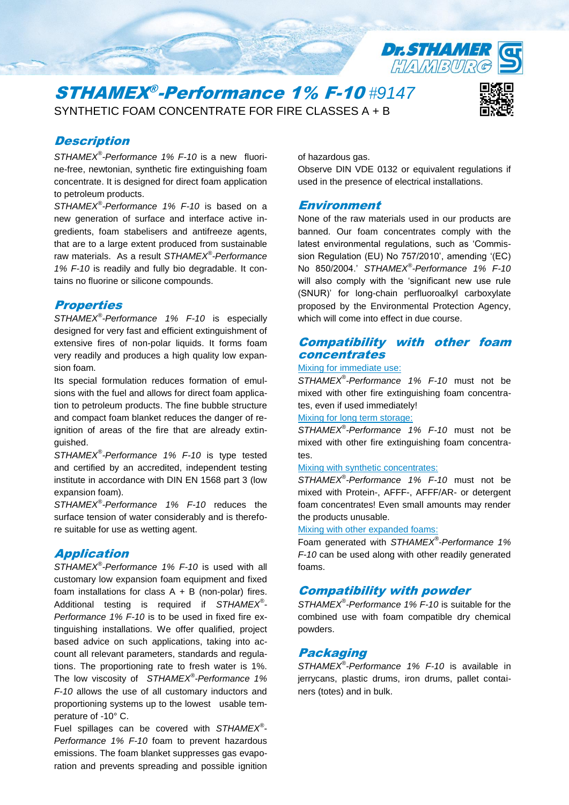

# STHAMEX® -Performance 1% F-10 *#9147* SYNTHETIC FOAM CONCENTRATE FOR FIRE CLASSES A + B



# **Description**

*STHAMEX® -Performance 1% F-10* is a new fluorine-free, newtonian, synthetic fire extinguishing foam concentrate. It is designed for direct foam application to petroleum products.

*STHAMEX® -Performance 1% F-10* is based on a new generation of surface and interface active ingredients, foam stabelisers and antifreeze agents, that are to a large extent produced from sustainable raw materials. As a result *STHAMEX® -Performance 1% F-10* is readily and fully bio degradable. It contains no fluorine or silicone compounds.

# **Properties**

*STHAMEX® -Performance 1% F-10* is especially designed for very fast and efficient extinguishment of extensive fires of non-polar liquids. It forms foam very readily and produces a high quality low expansion foam.

Its special formulation reduces formation of emulsions with the fuel and allows for direct foam application to petroleum products. The fine bubble structure and compact foam blanket reduces the danger of reignition of areas of the fire that are already extinguished.

*STHAMEX® -Performance 1% F-10* is type tested and certified by an accredited, independent testing institute in accordance with DIN EN 1568 part 3 (low expansion foam).

*STHAMEX® -Performance 1% F-10* reduces the surface tension of water considerably and is therefore suitable for use as wetting agent.

## Application

*STHAMEX® -Performance 1% F-10* is used with all customary low expansion foam equipment and fixed foam installations for class  $A + B$  (non-polar) fires. Additional testing is required if *STHAMEX® - Performance 1% F-10* is to be used in fixed fire extinguishing installations. We offer qualified, project based advice on such applications, taking into account all relevant parameters, standards and regulations. The proportioning rate to fresh water is 1%. The low viscosity of *STHAMEX® -Performance 1% F-10* allows the use of all customary inductors and proportioning systems up to the lowest usable temperature of -10° C.

Fuel spillages can be covered with *STHAMEX® - Performance 1% F-10* foam to prevent hazardous emissions. The foam blanket suppresses gas evaporation and prevents spreading and possible ignition of hazardous gas.

Observe DIN VDE 0132 or equivalent regulations if used in the presence of electrical installations.

## Environment

None of the raw materials used in our products are banned. Our foam concentrates comply with the latest environmental regulations, such as 'Commission Regulation (EU) No 757/2010', amending '(EC) No 850/2004.' *STHAMEX® -Performance 1% F-10* will also comply with the 'significant new use rule (SNUR)' for long-chain perfluoroalkyl carboxylate proposed by the Environmental Protection Agency, which will come into effect in due course.

# Compatibility with other foam concentrates

#### Mixing for immediate use:

*STHAMEX® -Performance 1% F-10* must not be mixed with other fire extinguishing foam concentrates, even if used immediately!

### Mixing for long term storage:

*STHAMEX® -Performance 1% F-10* must not be mixed with other fire extinguishing foam concentra $t^{\alpha}$ 

#### Mixing with synthetic concentrates:

*STHAMEX® -Performance 1% F-10* must not be mixed with Protein-, AFFF-, AFFF/AR- or detergent foam concentrates! Even small amounts may render the products unusable.

Mixing with other expanded foams:

Foam generated with *STHAMEX® -Performance 1% F-10* can be used along with other readily generated foams.

# Compatibility with powder

*STHAMEX® -Performance 1% F-10* is suitable for the combined use with foam compatible dry chemical powders.

# Packaging

*STHAMEX® -Performance 1% F-10* is available in jerrycans, plastic drums, iron drums, pallet containers (totes) and in bulk.